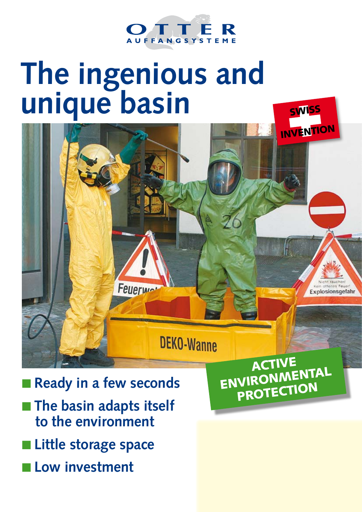

# **The ingenious and unique basin**



- **Ready in a few seconds n** The basin adapts itself **to the environment**
- **Little storage space**
- **Low investment**

aCTIVE ENVIRONMENTAL PROTECTION

SWISS